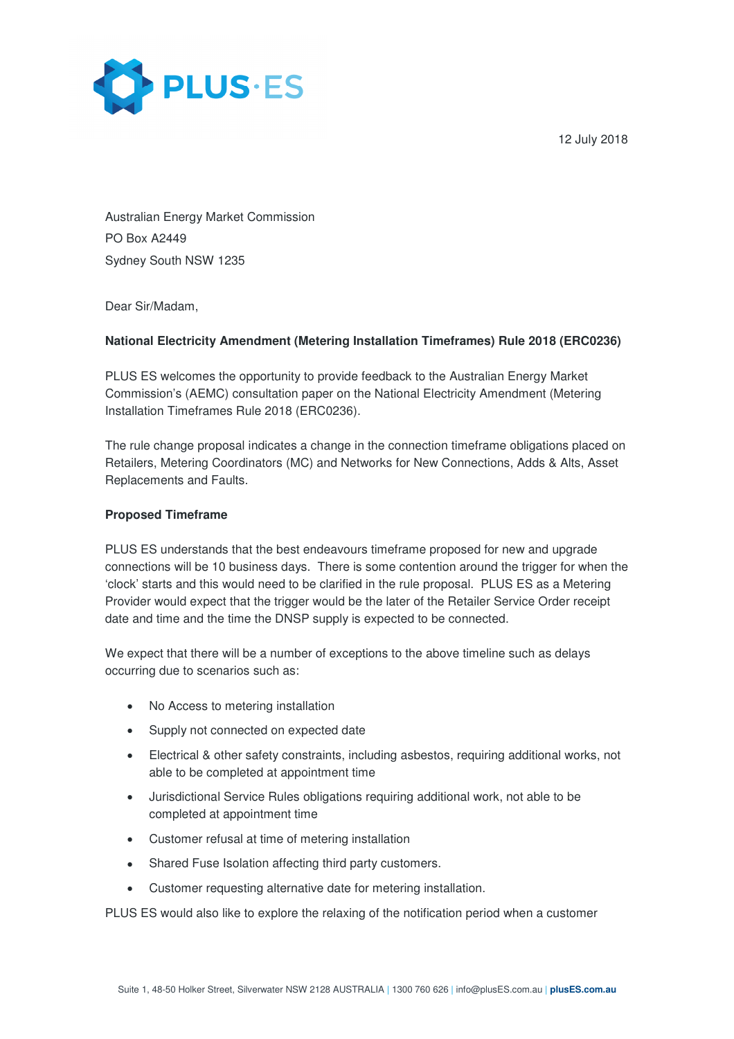12 July 2018



Australian Energy Market Commission PO Box A2449 Sydney South NSW 1235

Dear Sir/Madam,

## **National Electricity Amendment (Metering Installation Timeframes) Rule 2018 (ERC0236)**

PLUS ES welcomes the opportunity to provide feedback to the Australian Energy Market Commission's (AEMC) consultation paper on the National Electricity Amendment (Metering Installation Timeframes Rule 2018 (ERC0236).

The rule change proposal indicates a change in the connection timeframe obligations placed on Retailers, Metering Coordinators (MC) and Networks for New Connections, Adds & Alts, Asset Replacements and Faults.

### **Proposed Timeframe**

PLUS ES understands that the best endeavours timeframe proposed for new and upgrade connections will be 10 business days. There is some contention around the trigger for when the 'clock' starts and this would need to be clarified in the rule proposal. PLUS ES as a Metering Provider would expect that the trigger would be the later of the Retailer Service Order receipt date and time and the time the DNSP supply is expected to be connected.

We expect that there will be a number of exceptions to the above timeline such as delays occurring due to scenarios such as:

- No Access to metering installation
- Supply not connected on expected date
- Electrical & other safety constraints, including asbestos, requiring additional works, not able to be completed at appointment time
- Jurisdictional Service Rules obligations requiring additional work, not able to be completed at appointment time
- Customer refusal at time of metering installation
- Shared Fuse Isolation affecting third party customers.
- Customer requesting alternative date for metering installation.

PLUS ES would also like to explore the relaxing of the notification period when a customer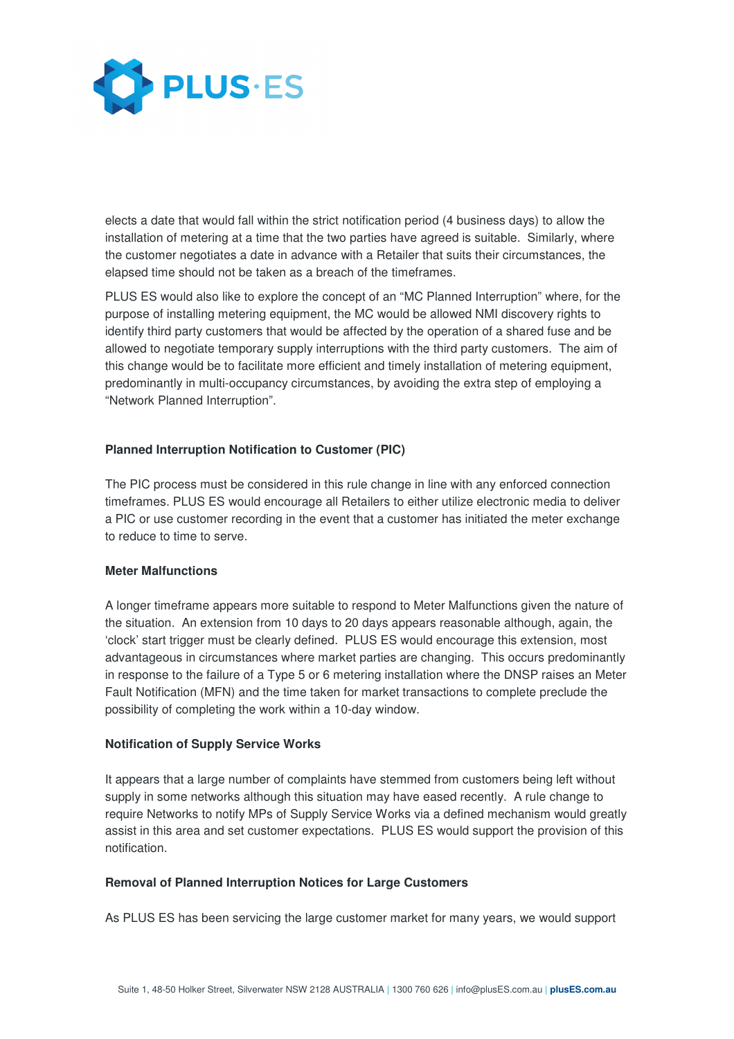

elects a date that would fall within the strict notification period (4 business days) to allow the installation of metering at a time that the two parties have agreed is suitable. Similarly, where the customer negotiates a date in advance with a Retailer that suits their circumstances, the elapsed time should not be taken as a breach of the timeframes.

PLUS ES would also like to explore the concept of an "MC Planned Interruption" where, for the purpose of installing metering equipment, the MC would be allowed NMI discovery rights to identify third party customers that would be affected by the operation of a shared fuse and be allowed to negotiate temporary supply interruptions with the third party customers. The aim of this change would be to facilitate more efficient and timely installation of metering equipment, predominantly in multi-occupancy circumstances, by avoiding the extra step of employing a "Network Planned Interruption".

## **Planned Interruption Notification to Customer (PIC)**

The PIC process must be considered in this rule change in line with any enforced connection timeframes. PLUS ES would encourage all Retailers to either utilize electronic media to deliver a PIC or use customer recording in the event that a customer has initiated the meter exchange to reduce to time to serve.

#### **Meter Malfunctions**

A longer timeframe appears more suitable to respond to Meter Malfunctions given the nature of the situation. An extension from 10 days to 20 days appears reasonable although, again, the 'clock' start trigger must be clearly defined. PLUS ES would encourage this extension, most advantageous in circumstances where market parties are changing. This occurs predominantly in response to the failure of a Type 5 or 6 metering installation where the DNSP raises an Meter Fault Notification (MFN) and the time taken for market transactions to complete preclude the possibility of completing the work within a 10-day window.

#### **Notification of Supply Service Works**

It appears that a large number of complaints have stemmed from customers being left without supply in some networks although this situation may have eased recently. A rule change to require Networks to notify MPs of Supply Service Works via a defined mechanism would greatly assist in this area and set customer expectations. PLUS ES would support the provision of this notification.

#### **Removal of Planned Interruption Notices for Large Customers**

As PLUS ES has been servicing the large customer market for many years, we would support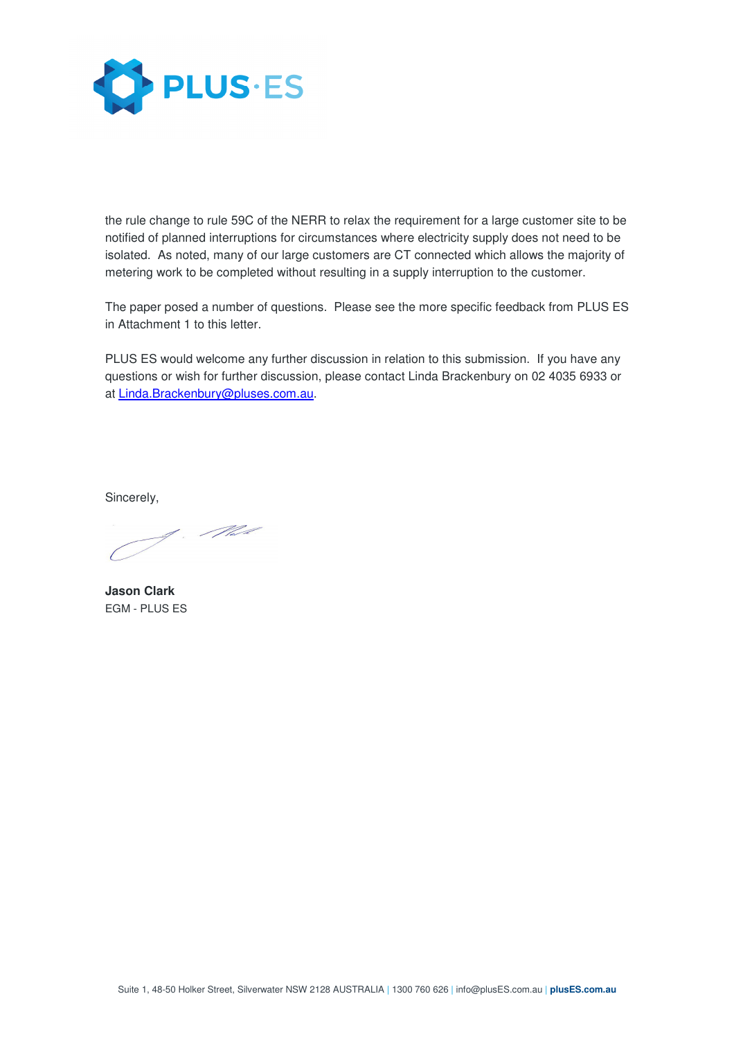

the rule change to rule 59C of the NERR to relax the requirement for a large customer site to be notified of planned interruptions for circumstances where electricity supply does not need to be isolated. As noted, many of our large customers are CT connected which allows the majority of metering work to be completed without resulting in a supply interruption to the customer.

The paper posed a number of questions. Please see the more specific feedback from PLUS ES in Attachment 1 to this letter.

PLUS ES would welcome any further discussion in relation to this submission. If you have any questions or wish for further discussion, please contact Linda Brackenbury on 02 4035 6933 or at Linda.Brackenbury@pluses.com.au.

Sincerely,

**Jason Clark**  EGM - PLUS ES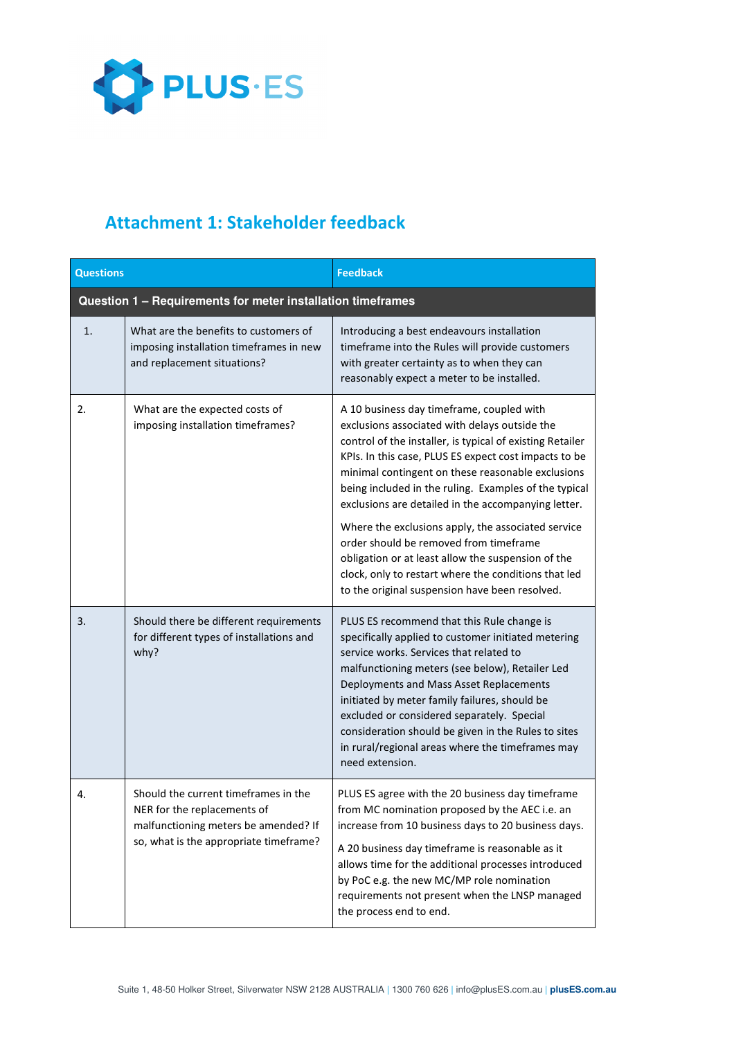

# Attachment 1: Stakeholder feedback

| <b>Questions</b>                                            |                                                                                                                                                       | <b>Feedback</b>                                                                                                                                                                                                                                                                                                                                                                                                                                                                                                                                                                                                                                       |  |
|-------------------------------------------------------------|-------------------------------------------------------------------------------------------------------------------------------------------------------|-------------------------------------------------------------------------------------------------------------------------------------------------------------------------------------------------------------------------------------------------------------------------------------------------------------------------------------------------------------------------------------------------------------------------------------------------------------------------------------------------------------------------------------------------------------------------------------------------------------------------------------------------------|--|
| Question 1 - Requirements for meter installation timeframes |                                                                                                                                                       |                                                                                                                                                                                                                                                                                                                                                                                                                                                                                                                                                                                                                                                       |  |
| 1.                                                          | What are the benefits to customers of<br>imposing installation timeframes in new<br>and replacement situations?                                       | Introducing a best endeavours installation<br>timeframe into the Rules will provide customers<br>with greater certainty as to when they can<br>reasonably expect a meter to be installed.                                                                                                                                                                                                                                                                                                                                                                                                                                                             |  |
| 2.                                                          | What are the expected costs of<br>imposing installation timeframes?                                                                                   | A 10 business day timeframe, coupled with<br>exclusions associated with delays outside the<br>control of the installer, is typical of existing Retailer<br>KPIs. In this case, PLUS ES expect cost impacts to be<br>minimal contingent on these reasonable exclusions<br>being included in the ruling. Examples of the typical<br>exclusions are detailed in the accompanying letter.<br>Where the exclusions apply, the associated service<br>order should be removed from timeframe<br>obligation or at least allow the suspension of the<br>clock, only to restart where the conditions that led<br>to the original suspension have been resolved. |  |
| 3.                                                          | Should there be different requirements<br>for different types of installations and<br>why?                                                            | PLUS ES recommend that this Rule change is<br>specifically applied to customer initiated metering<br>service works. Services that related to<br>malfunctioning meters (see below), Retailer Led<br>Deployments and Mass Asset Replacements<br>initiated by meter family failures, should be<br>excluded or considered separately. Special<br>consideration should be given in the Rules to sites<br>in rural/regional areas where the timeframes may<br>need extension.                                                                                                                                                                               |  |
| 4.                                                          | Should the current timeframes in the<br>NER for the replacements of<br>malfunctioning meters be amended? If<br>so, what is the appropriate timeframe? | PLUS ES agree with the 20 business day timeframe<br>from MC nomination proposed by the AEC i.e. an<br>increase from 10 business days to 20 business days.<br>A 20 business day timeframe is reasonable as it<br>allows time for the additional processes introduced<br>by PoC e.g. the new MC/MP role nomination<br>requirements not present when the LNSP managed<br>the process end to end.                                                                                                                                                                                                                                                         |  |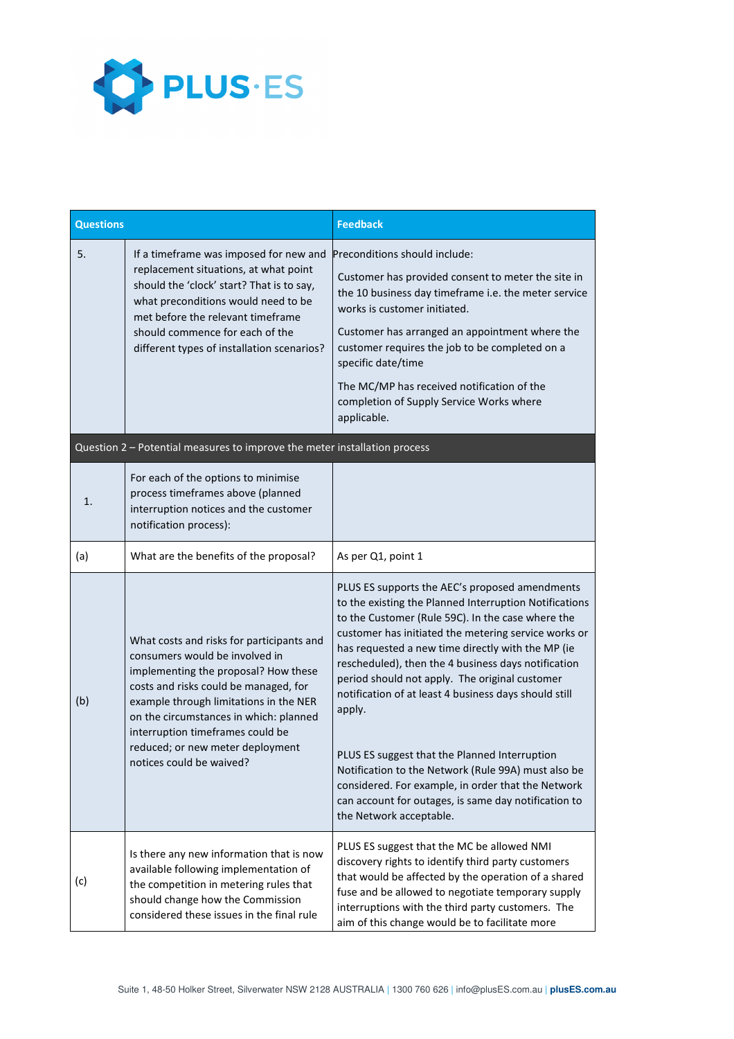

| <b>Questions</b>                                                          |                                                                                                                                                                                                                                                                                                                                                      | <b>Feedback</b>                                                                                                                                                                                                                                                                                                                                                                                                                                                                                                                                                                                                                                                                                         |  |  |
|---------------------------------------------------------------------------|------------------------------------------------------------------------------------------------------------------------------------------------------------------------------------------------------------------------------------------------------------------------------------------------------------------------------------------------------|---------------------------------------------------------------------------------------------------------------------------------------------------------------------------------------------------------------------------------------------------------------------------------------------------------------------------------------------------------------------------------------------------------------------------------------------------------------------------------------------------------------------------------------------------------------------------------------------------------------------------------------------------------------------------------------------------------|--|--|
| 5.                                                                        | If a timeframe was imposed for new and<br>replacement situations, at what point<br>should the 'clock' start? That is to say,<br>what preconditions would need to be<br>met before the relevant timeframe<br>should commence for each of the<br>different types of installation scenarios?                                                            | Preconditions should include:<br>Customer has provided consent to meter the site in<br>the 10 business day timeframe i.e. the meter service<br>works is customer initiated.<br>Customer has arranged an appointment where the<br>customer requires the job to be completed on a<br>specific date/time<br>The MC/MP has received notification of the<br>completion of Supply Service Works where<br>applicable.                                                                                                                                                                                                                                                                                          |  |  |
| Question 2 - Potential measures to improve the meter installation process |                                                                                                                                                                                                                                                                                                                                                      |                                                                                                                                                                                                                                                                                                                                                                                                                                                                                                                                                                                                                                                                                                         |  |  |
| 1.                                                                        | For each of the options to minimise<br>process timeframes above (planned<br>interruption notices and the customer<br>notification process):                                                                                                                                                                                                          |                                                                                                                                                                                                                                                                                                                                                                                                                                                                                                                                                                                                                                                                                                         |  |  |
| (a)                                                                       | What are the benefits of the proposal?                                                                                                                                                                                                                                                                                                               | As per Q1, point 1                                                                                                                                                                                                                                                                                                                                                                                                                                                                                                                                                                                                                                                                                      |  |  |
| (b)                                                                       | What costs and risks for participants and<br>consumers would be involved in<br>implementing the proposal? How these<br>costs and risks could be managed, for<br>example through limitations in the NER<br>on the circumstances in which: planned<br>interruption timeframes could be<br>reduced; or new meter deployment<br>notices could be waived? | PLUS ES supports the AEC's proposed amendments<br>to the existing the Planned Interruption Notifications<br>to the Customer (Rule 59C). In the case where the<br>customer has initiated the metering service works or<br>has requested a new time directly with the MP (ie<br>rescheduled), then the 4 business days notification<br>period should not apply. The original customer<br>notification of at least 4 business days should still<br>apply.<br>PLUS ES suggest that the Planned Interruption<br>Notification to the Network (Rule 99A) must also be<br>considered. For example, in order that the Network<br>can account for outages, is same day notification to<br>the Network acceptable. |  |  |
| (c)                                                                       | Is there any new information that is now<br>available following implementation of<br>the competition in metering rules that<br>should change how the Commission<br>considered these issues in the final rule                                                                                                                                         | PLUS ES suggest that the MC be allowed NMI<br>discovery rights to identify third party customers<br>that would be affected by the operation of a shared<br>fuse and be allowed to negotiate temporary supply<br>interruptions with the third party customers. The<br>aim of this change would be to facilitate more                                                                                                                                                                                                                                                                                                                                                                                     |  |  |